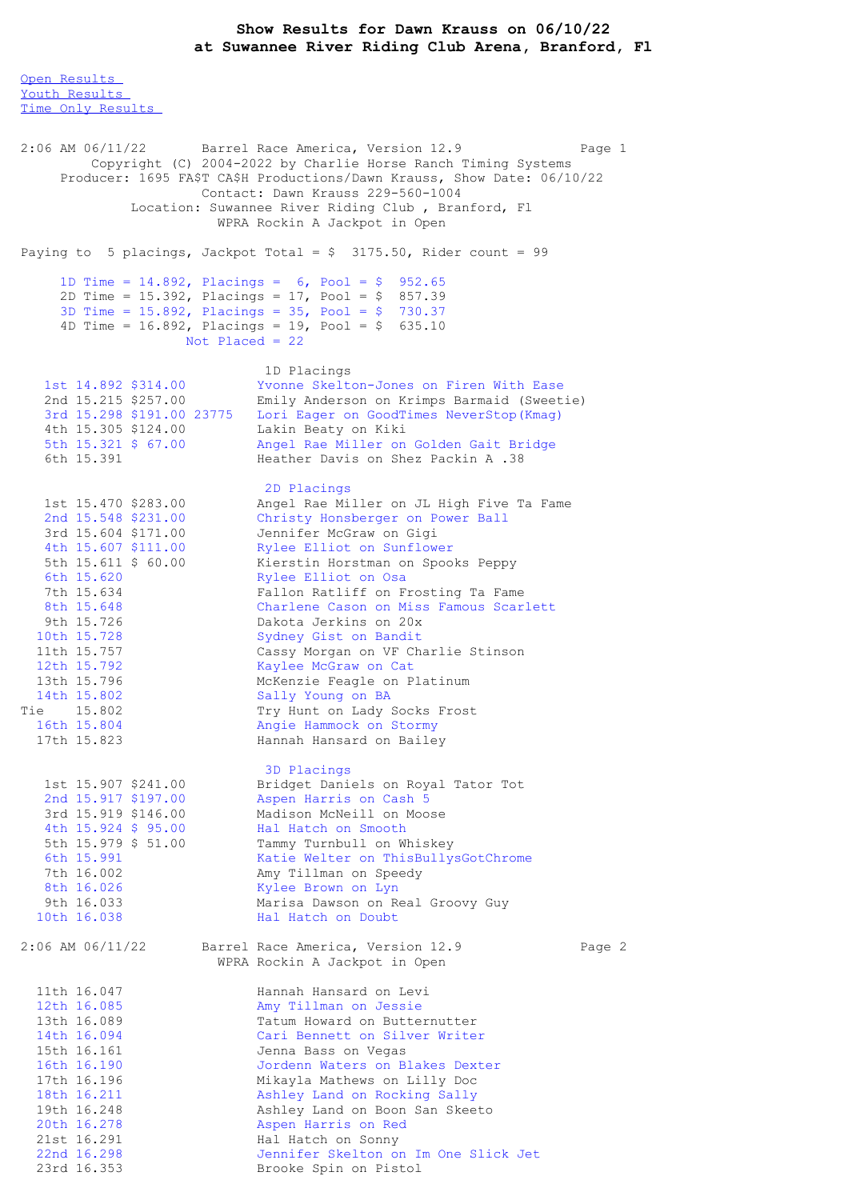## **Show Results for Dawn Krauss on 06/10/22 at Suwannee River Riding Club Arena, Branford, Fl**

Open [Results](file:///C:/Users/flori/Downloads/Show_Results_Dawn_Krauss_06_10_22.html#Open) Youth [Results](file:///C:/Users/flori/Downloads/Show_Results_Dawn_Krauss_06_10_22.html#Youth) Time Only [Results](file:///C:/Users/flori/Downloads/Show_Results_Dawn_Krauss_06_10_22.html#Time%20Only) 2:06 AM 06/11/22 Barrel Race America, Version 12.9 Page 1 Copyright (C) 2004-2022 by Charlie Horse Ranch Timing Systems Producer: 1695 FA\$T CA\$H Productions/Dawn Krauss, Show Date: 06/10/22 Contact: Dawn Krauss 229-560-1004 Location: Suwannee River Riding Club , Branford, Fl WPRA Rockin A Jackpot in Open Paying to 5 placings, Jackpot Total =  $$3175.50$ , Rider count = 99 1D Time = 14.892, Placings = 6, Pool = \$ 952.65 2D Time = 15.392, Placings = 17, Pool = \$ 857.39 3D Time = 15.892, Placings = 35, Pool = \$ 730.37 4D Time = 16.892, Placings = 19, Pool = \$ 635.10 Not Placed  $= 22$ 1D Placings 1st 14.892 \$314.00 Yvonne Skelton-Jones on Firen With Ease 2nd 15.215 \$257.00 Emily Anderson on Krimps Barmaid (Sweetie) 3rd 15.298 \$191.00 23775 Lori Eager on GoodTimes NeverStop(Kmag) 4th 15.305 \$124.00 Lakin Beaty on Kiki 5th 15.321 \$ 67.00 Angel Rae Miller on Golden Gait Bridge 6th 15.391 Heather Davis on Shez Packin A .38 2D Placings 1st 15.470 \$283.00 Angel Rae Miller on JL High Five Ta Fame 2nd 15.548 \$231.00 Christy Honsberger on Power Ball 3rd 15.604 \$171.00 Jennifer McGraw on Gigi 4th 15.607 \$111.00 Rylee Elliot on Sunflower 5th 15.611 \$ 60.00 Kierstin Horstman on Spooks Peppy 6th 15.620 Rylee Elliot on Osa 7th 15.634 Fallon Ratliff on Frosting Ta Fame 8th 15.648 Charlene Cason on Miss Famous Scarlett 9th 15.726 Dakota Jerkins on 20x 10th 15.728 Sydney Gist on Bandit 11th 15.757 Cassy Morgan on VF Charlie Stinson 12th 15.792 Kaylee McGraw on Cat 13th 15.796 McKenzie Feagle on Platinum 14th 15.802 Sally Young on BA Tie 15.802 Try Hunt on Lady Socks Frost 16th 15.804 Angie Hammock on Stormy 17th 15.823 Hannah Hansard on Bailey 3D Placings 1st 15.907 \$241.00 Bridget Daniels on Royal Tator Tot 2nd 15.917 \$197.00 Aspen Harris on Cash 5 3rd 15.919 \$146.00 Madison McNeill on Moose 4th 15.924 \$ 95.00 Hal Hatch on Smooth 5th 15.979 \$ 51.00 Tammy Turnbull on Whiskey 6th 15.991 Katie Welter on ThisBullysGotChrome 7th 16.002 Amy Tillman on Speedy 8th 16.026 Kylee Brown on Lyn 9th 16.033 Marisa Dawson on Real Groovy Guy 10th 16.038 Hal Hatch on Doubt 2:06 AM 06/11/22 Barrel Race America, Version 12.9 Page 2 WPRA Rockin A Jackpot in Open 11th 16.047 Hannah Hansard on Levi<br>12th 16.085 Amy Tillman on Jessie 12th 16.085 Amy Tillman on Jessie<br>13th 16.089 Tatum Howard on Butternutter 13th 16.089 Tatum Howard on Butternutter 14th 16.094 Cari Bennett on Silver Writer 15th 16.161 Jenna Bass on Vegas 16th 16.190 Jordenn Waters on Blakes Dexter 17th 16.196 Mikayla Mathews on Lilly Doc 18th 16.211 Ashley Land on Rocking Sally 19th 16.248 Ashley Land on Boon San Skeeto 20th 16.278 Aspen Harris on Red 21st 16.291 Hal Hatch on Sonny 22nd 16.298 Jennifer Skelton on Im One Slick Jet 23rd 16.353 Brooke Spin on Pistol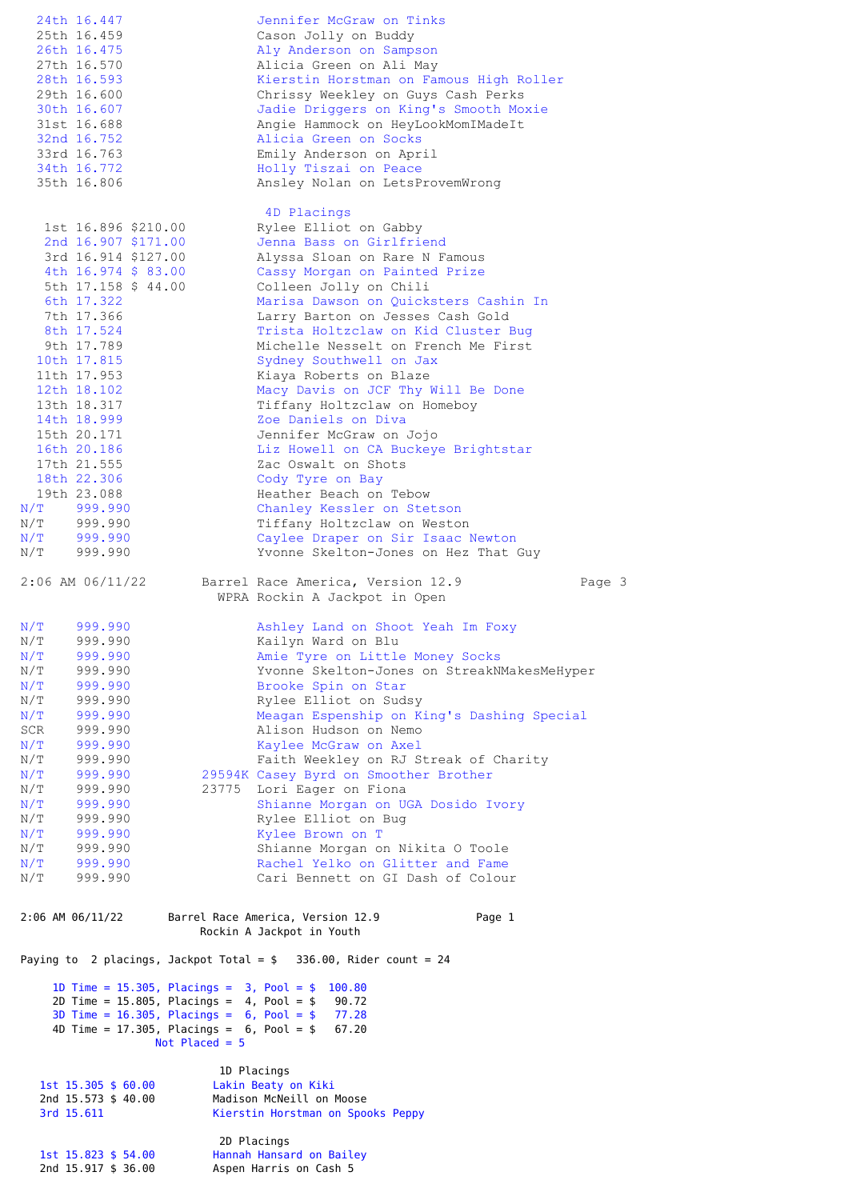|            | 24th 16.447                |                                                 |             | Jennifer McGraw on Tinks                                                       |        |
|------------|----------------------------|-------------------------------------------------|-------------|--------------------------------------------------------------------------------|--------|
|            | 25th 16.459                |                                                 |             | Cason Jolly on Buddy                                                           |        |
|            | 26th 16.475                |                                                 |             | Aly Anderson on Sampson                                                        |        |
|            | 27th 16.570                |                                                 |             | Alicia Green on Ali May                                                        |        |
|            | 28th 16.593                |                                                 |             | Kierstin Horstman on Famous High Roller                                        |        |
|            | 29th 16.600                |                                                 |             | Chrissy Weekley on Guys Cash Perks                                             |        |
|            | 30th 16.607                |                                                 |             | Jadie Driggers on King's Smooth Moxie                                          |        |
|            | 31st 16.688                |                                                 |             | Angie Hammock on HeyLookMomIMadeIt                                             |        |
|            | 32nd 16.752                |                                                 |             | Alicia Green on Socks                                                          |        |
|            | 33rd 16.763                |                                                 |             | Emily Anderson on April                                                        |        |
|            | 34th 16.772<br>35th 16.806 |                                                 |             | Holly Tiszai on Peace                                                          |        |
|            |                            |                                                 |             | Ansley Nolan on LetsProvemWrong                                                |        |
|            |                            |                                                 |             | 4D Placings                                                                    |        |
|            | 1st 16.896 \$210.00        |                                                 |             | Rylee Elliot on Gabby                                                          |        |
|            | 2nd 16.907 \$171.00        |                                                 |             | Jenna Bass on Girlfriend                                                       |        |
|            | 3rd 16.914 \$127.00        |                                                 |             | Alyssa Sloan on Rare N Famous                                                  |        |
|            | 4th 16.974 \$ 83.00        |                                                 |             | Cassy Morgan on Painted Prize                                                  |        |
|            | 5th 17.158 \$ 44.00        |                                                 |             | Colleen Jolly on Chili                                                         |        |
|            | 6th 17.322                 |                                                 |             | Marisa Dawson on Quicksters Cashin In                                          |        |
|            | 7th 17.366                 |                                                 |             | Larry Barton on Jesses Cash Gold                                               |        |
|            | 8th 17.524                 |                                                 |             | Trista Holtzclaw on Kid Cluster Bug                                            |        |
|            | 9th 17.789                 |                                                 |             | Michelle Nesselt on French Me First                                            |        |
|            | 10th 17.815                |                                                 |             | Sydney Southwell on Jax                                                        |        |
|            | 11th 17.953                |                                                 |             | Kiaya Roberts on Blaze                                                         |        |
|            | 12th 18.102                |                                                 |             | Macy Davis on JCF Thy Will Be Done                                             |        |
|            | 13th 18.317                |                                                 |             | Tiffany Holtzclaw on Homeboy                                                   |        |
|            | 14th 18.999                |                                                 |             | Zoe Daniels on Diva                                                            |        |
|            | 15th 20.171<br>16th 20.186 |                                                 |             | Jennifer McGraw on Jojo                                                        |        |
|            | 17th 21.555                |                                                 |             | Liz Howell on CA Buckeye Brightstar<br>Zac Oswalt on Shots                     |        |
|            | 18th 22.306                |                                                 |             | Cody Tyre on Bay                                                               |        |
|            | 19th 23.088                |                                                 |             | Heather Beach on Tebow                                                         |        |
|            | $N/T$ 999.990              |                                                 |             | Chanley Kessler on Stetson                                                     |        |
|            | N/T 999.990                |                                                 |             | Tiffany Holtzclaw on Weston                                                    |        |
|            | N/T 999.990                |                                                 |             | Caylee Draper on Sir Isaac Newton                                              |        |
| N/T        | 999.990                    |                                                 |             | Yvonne Skelton-Jones on Hez That Guy                                           |        |
|            |                            |                                                 |             |                                                                                |        |
|            | $2:06$ AM $06/11/22$       |                                                 |             | Barrel Race America, Version 12.9                                              | Page 3 |
|            |                            |                                                 |             | WPRA Rockin A Jackpot in Open                                                  |        |
|            |                            |                                                 |             |                                                                                |        |
| N/T<br>N/T | 999.990                    |                                                 |             | Ashley Land on Shoot Yeah Im Foxy<br>Kailyn Ward on Blu                        |        |
|            | 999.990                    |                                                 |             |                                                                                |        |
| N/T<br>N/T | 999.990<br>999.990         |                                                 |             | Amie Tyre on Little Money Socks<br>Yvonne Skelton-Jones on StreakNMakesMeHyper |        |
| $\rm N/T$  | 999.990                    |                                                 |             | Brooke Spin on Star                                                            |        |
| N/T        | 999.990                    |                                                 |             | Rylee Elliot on Sudsy                                                          |        |
| N/T        | 999.990                    |                                                 |             | Meagan Espenship on King's Dashing Special                                     |        |
| SCR        | 999.990                    |                                                 |             | Alison Hudson on Nemo                                                          |        |
| N/T        | 999.990                    |                                                 |             | Kaylee McGraw on Axel                                                          |        |
| N/T        | 999.990                    |                                                 |             | Faith Weekley on RJ Streak of Charity                                          |        |
| N/T        | 999.990                    |                                                 |             | 29594K Casey Byrd on Smoother Brother                                          |        |
| N/T        | 999.990                    |                                                 |             | 23775 Lori Eager on Fiona                                                      |        |
| N/T        | 999.990                    |                                                 |             | Shianne Morgan on UGA Dosido Ivory                                             |        |
| N/T        | 999.990                    |                                                 |             | Rylee Elliot on Bug                                                            |        |
| N/T        | 999.990                    |                                                 |             | Kylee Brown on T                                                               |        |
| N/T<br>N/T | 999.990<br>999.990         |                                                 |             | Shianne Morgan on Nikita O Toole<br>Rachel Yelko on Glitter and Fame           |        |
| N/T        | 999.990                    |                                                 |             | Cari Bennett on GI Dash of Colour                                              |        |
|            |                            |                                                 |             |                                                                                |        |
|            |                            |                                                 |             |                                                                                |        |
|            | $2:06$ AM $06/11/22$       |                                                 |             | Barrel Race America, Version 12.9<br>Page 1                                    |        |
|            |                            |                                                 |             | Rockin A Jackpot in Youth                                                      |        |
|            |                            |                                                 |             | Paying to 2 placings, Jackpot Total = $$336.00$ , Rider count = 24             |        |
|            |                            |                                                 |             |                                                                                |        |
|            |                            |                                                 |             | 1D Time = 15.305, Placings = $3$ , Pool = $$100.80$                            |        |
|            |                            | 2D Time = $15.805$ , Placings = $4$ , Pool = \$ |             | 90.72                                                                          |        |
|            |                            |                                                 |             | 3D Time = $16.305$ , Placings = $6$ , Pool = $$77.28$                          |        |
|            |                            | 4D Time = $17.305$ , Placings = $6$ , Pool = \$ |             | 67.20                                                                          |        |
|            |                            | Not Placed = $5$                                |             |                                                                                |        |
|            |                            |                                                 | 1D Placings |                                                                                |        |
|            | 1st 15.305 \$ 60.00        |                                                 |             | Lakin Beaty on Kiki                                                            |        |
|            | 2nd 15.573 \$ 40.00        |                                                 |             | Madison McNeill on Moose                                                       |        |
|            | 3rd 15.611                 |                                                 |             | Kierstin Horstman on Spooks Peppy                                              |        |
|            |                            |                                                 |             |                                                                                |        |
|            |                            |                                                 | 2D Placings |                                                                                |        |
|            | 1st 15.823 \$ 54.00        |                                                 |             | Hannah Hansard on Bailey                                                       |        |
|            | 2nd 15.917 \$ 36.00        |                                                 |             | Aspen Harris on Cash 5                                                         |        |